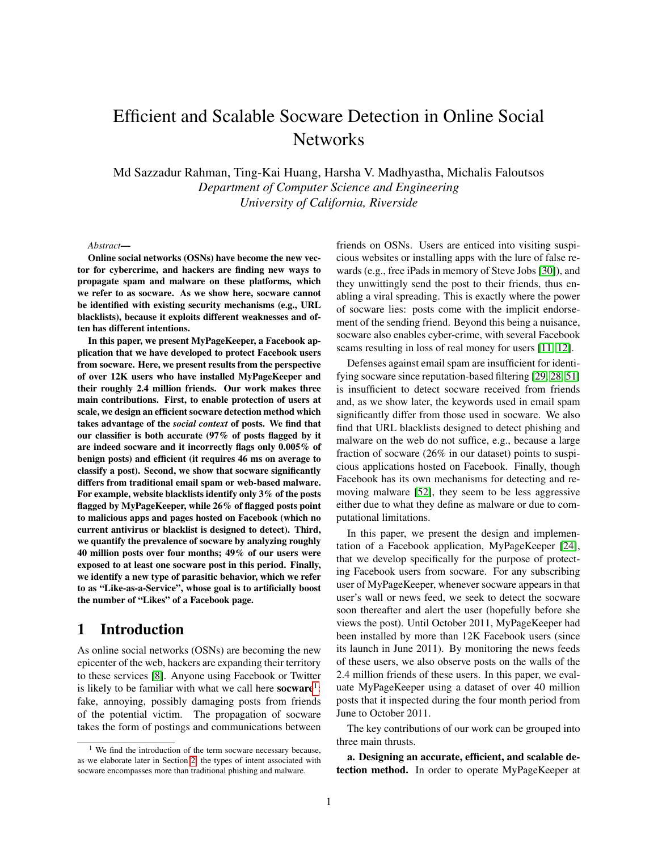# Efficient and Scalable Socware Detection in Online Social **Networks**

Md Sazzadur Rahman, Ting-Kai Huang, Harsha V. Madhyastha, Michalis Faloutsos *Department of Computer Science and Engineering University of California, Riverside*

#### *Abstract*—

Online social networks (OSNs) have become the new vector for cybercrime, and hackers are finding new ways to propagate spam and malware on these platforms, which we refer to as socware. As we show here, socware cannot be identified with existing security mechanisms (e.g., URL blacklists), because it exploits different weaknesses and often has different intentions.

In this paper, we present MyPageKeeper, a Facebook application that we have developed to protect Facebook users from socware. Here, we present results from the perspective of over 12K users who have installed MyPageKeeper and their roughly 2.4 million friends. Our work makes three main contributions. First, to enable protection of users at scale, we design an efficient socware detection method which takes advantage of the *social context* of posts. We find that our classifier is both accurate (97% of posts flagged by it are indeed socware and it incorrectly flags only 0.005% of benign posts) and efficient (it requires 46 ms on average to classify a post). Second, we show that socware significantly differs from traditional email spam or web-based malware. For example, website blacklists identify only 3% of the posts flagged by MyPageKeeper, while 26% of flagged posts point to malicious apps and pages hosted on Facebook (which no current antivirus or blacklist is designed to detect). Third, we quantify the prevalence of socware by analyzing roughly 40 million posts over four months; 49% of our users were exposed to at least one socware post in this period. Finally, we identify a new type of parasitic behavior, which we refer to as "Like-as-a-Service", whose goal is to artificially boost the number of "Likes" of a Facebook page.

# 1 Introduction

As online social networks (OSNs) are becoming the new epicenter of the web, hackers are expanding their territory to these services [\[8\]](#page-14-0). Anyone using Facebook or Twitter is likely to be familiar with what we call here socware<sup>[1](#page-0-0)</sup>: fake, annoying, possibly damaging posts from friends of the potential victim. The propagation of socware takes the form of postings and communications between friends on OSNs. Users are enticed into visiting suspicious websites or installing apps with the lure of false rewards (e.g., free iPads in memory of Steve Jobs [\[30\]](#page-15-0)), and they unwittingly send the post to their friends, thus enabling a viral spreading. This is exactly where the power of socware lies: posts come with the implicit endorsement of the sending friend. Beyond this being a nuisance, socware also enables cyber-crime, with several Facebook scams resulting in loss of real money for users [\[11,](#page-14-1) [12\]](#page-14-2).

Defenses against email spam are insufficient for identifying socware since reputation-based filtering [\[29,](#page-15-1) [28,](#page-15-2) [51\]](#page-15-3) is insufficient to detect socware received from friends and, as we show later, the keywords used in email spam significantly differ from those used in socware. We also find that URL blacklists designed to detect phishing and malware on the web do not suffice, e.g., because a large fraction of socware (26% in our dataset) points to suspicious applications hosted on Facebook. Finally, though Facebook has its own mechanisms for detecting and removing malware [\[52\]](#page-15-4), they seem to be less aggressive either due to what they define as malware or due to computational limitations.

In this paper, we present the design and implementation of a Facebook application, MyPageKeeper [\[24\]](#page-15-5), that we develop specifically for the purpose of protecting Facebook users from socware. For any subscribing user of MyPageKeeper, whenever socware appears in that user's wall or news feed, we seek to detect the socware soon thereafter and alert the user (hopefully before she views the post). Until October 2011, MyPageKeeper had been installed by more than 12K Facebook users (since its launch in June 2011). By monitoring the news feeds of these users, we also observe posts on the walls of the 2.4 million friends of these users. In this paper, we evaluate MyPageKeeper using a dataset of over 40 million posts that it inspected during the four month period from June to October 2011.

The key contributions of our work can be grouped into three main thrusts.

a. Designing an accurate, efficient, and scalable detection method. In order to operate MyPageKeeper at

<span id="page-0-0"></span> $1$  We find the introduction of the term socware necessary because, as we elaborate later in Section [2,](#page-1-0) the types of intent associated with socware encompasses more than traditional phishing and malware.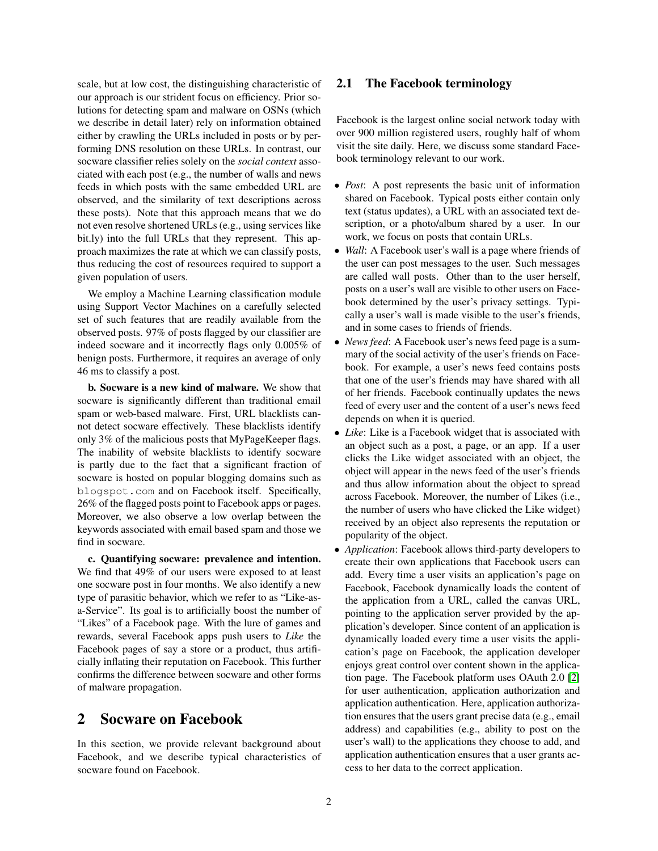scale, but at low cost, the distinguishing characteristic of our approach is our strident focus on efficiency. Prior solutions for detecting spam and malware on OSNs (which we describe in detail later) rely on information obtained either by crawling the URLs included in posts or by performing DNS resolution on these URLs. In contrast, our socware classifier relies solely on the *social context* associated with each post (e.g., the number of walls and news feeds in which posts with the same embedded URL are observed, and the similarity of text descriptions across these posts). Note that this approach means that we do not even resolve shortened URLs (e.g., using services like bit.ly) into the full URLs that they represent. This approach maximizes the rate at which we can classify posts, thus reducing the cost of resources required to support a given population of users.

We employ a Machine Learning classification module using Support Vector Machines on a carefully selected set of such features that are readily available from the observed posts. 97% of posts flagged by our classifier are indeed socware and it incorrectly flags only 0.005% of benign posts. Furthermore, it requires an average of only 46 ms to classify a post.

b. Socware is a new kind of malware. We show that socware is significantly different than traditional email spam or web-based malware. First, URL blacklists cannot detect socware effectively. These blacklists identify only 3% of the malicious posts that MyPageKeeper flags. The inability of website blacklists to identify socware is partly due to the fact that a significant fraction of socware is hosted on popular blogging domains such as blogspot.com and on Facebook itself. Specifically, 26% of the flagged posts point to Facebook apps or pages. Moreover, we also observe a low overlap between the keywords associated with email based spam and those we find in socware.

c. Quantifying socware: prevalence and intention. We find that 49% of our users were exposed to at least one socware post in four months. We also identify a new type of parasitic behavior, which we refer to as "Like-asa-Service". Its goal is to artificially boost the number of "Likes" of a Facebook page. With the lure of games and rewards, several Facebook apps push users to *Like* the Facebook pages of say a store or a product, thus artificially inflating their reputation on Facebook. This further confirms the difference between socware and other forms of malware propagation.

# <span id="page-1-0"></span>2 Socware on Facebook

In this section, we provide relevant background about Facebook, and we describe typical characteristics of socware found on Facebook.

### 2.1 The Facebook terminology

Facebook is the largest online social network today with over 900 million registered users, roughly half of whom visit the site daily. Here, we discuss some standard Facebook terminology relevant to our work.

- *Post*: A post represents the basic unit of information shared on Facebook. Typical posts either contain only text (status updates), a URL with an associated text description, or a photo/album shared by a user. In our work, we focus on posts that contain URLs.
- *Wall*: A Facebook user's wall is a page where friends of the user can post messages to the user. Such messages are called wall posts. Other than to the user herself, posts on a user's wall are visible to other users on Facebook determined by the user's privacy settings. Typically a user's wall is made visible to the user's friends, and in some cases to friends of friends.
- *News feed*: A Facebook user's news feed page is a summary of the social activity of the user's friends on Facebook. For example, a user's news feed contains posts that one of the user's friends may have shared with all of her friends. Facebook continually updates the news feed of every user and the content of a user's news feed depends on when it is queried.
- *Like*: Like is a Facebook widget that is associated with an object such as a post, a page, or an app. If a user clicks the Like widget associated with an object, the object will appear in the news feed of the user's friends and thus allow information about the object to spread across Facebook. Moreover, the number of Likes (i.e., the number of users who have clicked the Like widget) received by an object also represents the reputation or popularity of the object.
- *Application*: Facebook allows third-party developers to create their own applications that Facebook users can add. Every time a user visits an application's page on Facebook, Facebook dynamically loads the content of the application from a URL, called the canvas URL, pointing to the application server provided by the application's developer. Since content of an application is dynamically loaded every time a user visits the application's page on Facebook, the application developer enjoys great control over content shown in the application page. The Facebook platform uses OAuth 2.0 [\[2\]](#page-14-3) for user authentication, application authorization and application authentication. Here, application authorization ensures that the users grant precise data (e.g., email address) and capabilities (e.g., ability to post on the user's wall) to the applications they choose to add, and application authentication ensures that a user grants access to her data to the correct application.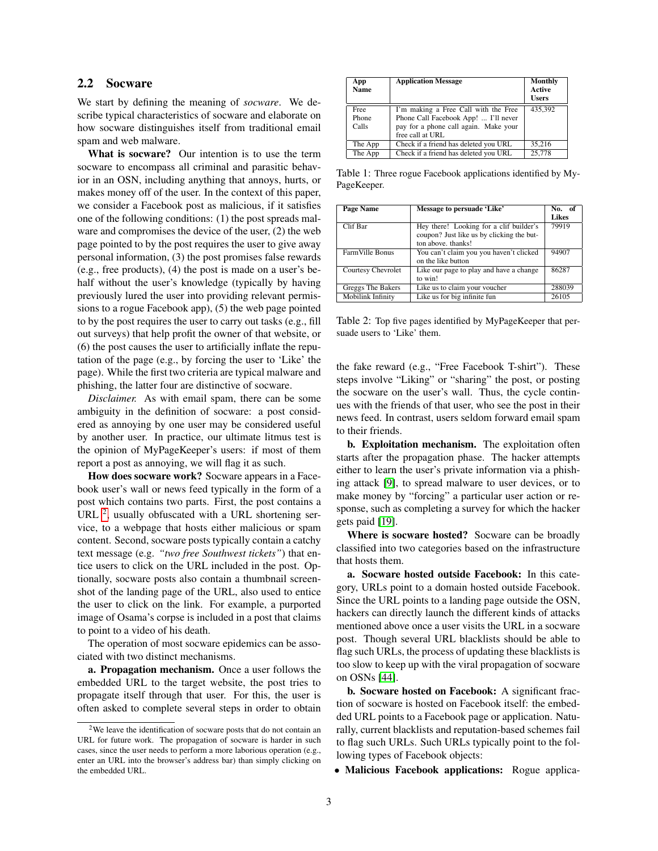#### 2.2 Socware

We start by defining the meaning of *socware*. We describe typical characteristics of socware and elaborate on how socware distinguishes itself from traditional email spam and web malware.

What is socware? Our intention is to use the term socware to encompass all criminal and parasitic behavior in an OSN, including anything that annoys, hurts, or makes money off of the user. In the context of this paper, we consider a Facebook post as malicious, if it satisfies one of the following conditions: (1) the post spreads malware and compromises the device of the user, (2) the web page pointed to by the post requires the user to give away personal information, (3) the post promises false rewards (e.g., free products), (4) the post is made on a user's behalf without the user's knowledge (typically by having previously lured the user into providing relevant permissions to a rogue Facebook app), (5) the web page pointed to by the post requires the user to carry out tasks (e.g., fill out surveys) that help profit the owner of that website, or (6) the post causes the user to artificially inflate the reputation of the page (e.g., by forcing the user to 'Like' the page). While the first two criteria are typical malware and phishing, the latter four are distinctive of socware.

*Disclaimer.* As with email spam, there can be some ambiguity in the definition of socware: a post considered as annoying by one user may be considered useful by another user. In practice, our ultimate litmus test is the opinion of MyPageKeeper's users: if most of them report a post as annoying, we will flag it as such.

How does socware work? Socware appears in a Facebook user's wall or news feed typically in the form of a post which contains two parts. First, the post contains a URL  $^2$  $^2$ , usually obfuscated with a URL shortening service, to a webpage that hosts either malicious or spam content. Second, socware posts typically contain a catchy text message (e.g. *"two free Southwest tickets"*) that entice users to click on the URL included in the post. Optionally, socware posts also contain a thumbnail screenshot of the landing page of the URL, also used to entice the user to click on the link. For example, a purported image of Osama's corpse is included in a post that claims to point to a video of his death.

The operation of most socware epidemics can be associated with two distinct mechanisms.

a. Propagation mechanism. Once a user follows the embedded URL to the target website, the post tries to propagate itself through that user. For this, the user is often asked to complete several steps in order to obtain

<span id="page-2-1"></span>

| App<br><b>Name</b>     | <b>Application Message</b>                                                                                                                | Monthly<br><b>Active</b><br><b>Users</b> |
|------------------------|-------------------------------------------------------------------------------------------------------------------------------------------|------------------------------------------|
| Free<br>Phone<br>Calls | I'm making a Free Call with the Free<br>Phone Call Facebook App!  I'll never<br>pay for a phone call again. Make your<br>free call at URL | 435.392                                  |
| The App                | Check if a friend has deleted you URL                                                                                                     | 35.216                                   |
| The App                | Check if a friend has deleted you URL                                                                                                     | 25,778                                   |

Table 1: Three rogue Facebook applications identified by My-PageKeeper.

| <b>Page Name</b>         | Message to persuade 'Like'                                                                                 | No. of |
|--------------------------|------------------------------------------------------------------------------------------------------------|--------|
|                          |                                                                                                            | Likes  |
| Clif Bar                 | Hey there! Looking for a clif builder's<br>coupon? Just like us by clicking the but-<br>ton above, thanks! | 79919  |
| Farm Ville Bonus         | You can't claim you you haven't clicked<br>on the like button                                              | 94907  |
| Courtesy Chevrolet       | Like our page to play and have a change<br>to win!                                                         | 86287  |
| Greggs The Bakers        | Like us to claim your voucher                                                                              | 288039 |
| <b>Mobilink Infinity</b> | Like us for big infinite fun                                                                               | 26105  |

<span id="page-2-2"></span>Table 2: Top five pages identified by MyPageKeeper that persuade users to 'Like' them.

the fake reward (e.g., "Free Facebook T-shirt"). These steps involve "Liking" or "sharing" the post, or posting the socware on the user's wall. Thus, the cycle continues with the friends of that user, who see the post in their news feed. In contrast, users seldom forward email spam to their friends.

b. Exploitation mechanism. The exploitation often starts after the propagation phase. The hacker attempts either to learn the user's private information via a phishing attack [\[9\]](#page-14-4), to spread malware to user devices, or to make money by "forcing" a particular user action or response, such as completing a survey for which the hacker gets paid [\[19\]](#page-15-6).

Where is socware hosted? Socware can be broadly classified into two categories based on the infrastructure that hosts them.

a. Socware hosted outside Facebook: In this category, URLs point to a domain hosted outside Facebook. Since the URL points to a landing page outside the OSN, hackers can directly launch the different kinds of attacks mentioned above once a user visits the URL in a socware post. Though several URL blacklists should be able to flag such URLs, the process of updating these blacklists is too slow to keep up with the viral propagation of socware on OSNs [\[44\]](#page-15-7).

b. Socware hosted on Facebook: A significant fraction of socware is hosted on Facebook itself: the embedded URL points to a Facebook page or application. Naturally, current blacklists and reputation-based schemes fail to flag such URLs. Such URLs typically point to the following types of Facebook objects:

• Malicious Facebook applications: Rogue applica-

<span id="page-2-0"></span><sup>2</sup>We leave the identification of socware posts that do not contain an URL for future work. The propagation of socware is harder in such cases, since the user needs to perform a more laborious operation (e.g., enter an URL into the browser's address bar) than simply clicking on the embedded URL.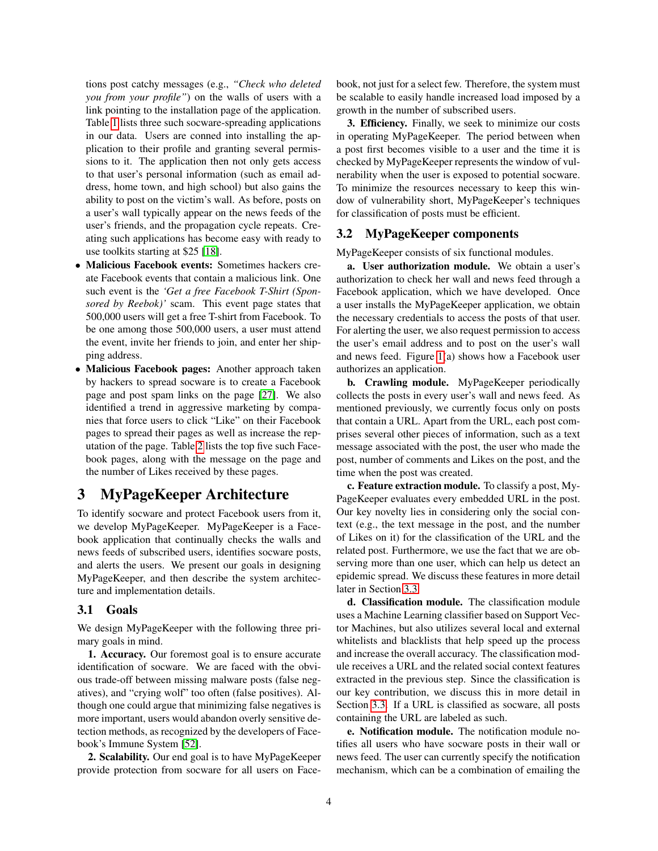tions post catchy messages (e.g., *"Check who deleted you from your profile"*) on the walls of users with a link pointing to the installation page of the application. Table [1](#page-2-1) lists three such socware-spreading applications in our data. Users are conned into installing the application to their profile and granting several permissions to it. The application then not only gets access to that user's personal information (such as email address, home town, and high school) but also gains the ability to post on the victim's wall. As before, posts on a user's wall typically appear on the news feeds of the user's friends, and the propagation cycle repeats. Creating such applications has become easy with ready to use toolkits starting at \$25 [\[18\]](#page-15-8).

- Malicious Facebook events: Sometimes hackers create Facebook events that contain a malicious link. One such event is the *'Get a free Facebook T-Shirt (Sponsored by Reebok)'* scam. This event page states that 500,000 users will get a free T-shirt from Facebook. To be one among those 500,000 users, a user must attend the event, invite her friends to join, and enter her shipping address.
- Malicious Facebook pages: Another approach taken by hackers to spread socware is to create a Facebook page and post spam links on the page [\[27\]](#page-15-9). We also identified a trend in aggressive marketing by companies that force users to click "Like" on their Facebook pages to spread their pages as well as increase the reputation of the page. Table [2](#page-2-2) lists the top five such Facebook pages, along with the message on the page and the number of Likes received by these pages.

# 3 MyPageKeeper Architecture

To identify socware and protect Facebook users from it, we develop MyPageKeeper. MyPageKeeper is a Facebook application that continually checks the walls and news feeds of subscribed users, identifies socware posts, and alerts the users. We present our goals in designing MyPageKeeper, and then describe the system architecture and implementation details.

#### 3.1 Goals

We design MyPageKeeper with the following three primary goals in mind.

1. Accuracy. Our foremost goal is to ensure accurate identification of socware. We are faced with the obvious trade-off between missing malware posts (false negatives), and "crying wolf" too often (false positives). Although one could argue that minimizing false negatives is more important, users would abandon overly sensitive detection methods, as recognized by the developers of Facebook's Immune System [\[52\]](#page-15-4).

2. Scalability. Our end goal is to have MyPageKeeper provide protection from socware for all users on Facebook, not just for a select few. Therefore, the system must be scalable to easily handle increased load imposed by a growth in the number of subscribed users.

3. Efficiency. Finally, we seek to minimize our costs in operating MyPageKeeper. The period between when a post first becomes visible to a user and the time it is checked by MyPageKeeper represents the window of vulnerability when the user is exposed to potential socware. To minimize the resources necessary to keep this window of vulnerability short, MyPageKeeper's techniques for classification of posts must be efficient.

#### 3.2 MyPageKeeper components

MyPageKeeper consists of six functional modules.

a. User authorization module. We obtain a user's authorization to check her wall and news feed through a Facebook application, which we have developed. Once a user installs the MyPageKeeper application, we obtain the necessary credentials to access the posts of that user. For alerting the user, we also request permission to access the user's email address and to post on the user's wall and news feed. Figure [1\(](#page-4-0)a) shows how a Facebook user authorizes an application.

b. Crawling module. MyPageKeeper periodically collects the posts in every user's wall and news feed. As mentioned previously, we currently focus only on posts that contain a URL. Apart from the URL, each post comprises several other pieces of information, such as a text message associated with the post, the user who made the post, number of comments and Likes on the post, and the time when the post was created.

c. Feature extraction module. To classify a post, My-PageKeeper evaluates every embedded URL in the post. Our key novelty lies in considering only the social context (e.g., the text message in the post, and the number of Likes on it) for the classification of the URL and the related post. Furthermore, we use the fact that we are observing more than one user, which can help us detect an epidemic spread. We discuss these features in more detail later in Section [3.3.](#page-4-1)

d. Classification module. The classification module uses a Machine Learning classifier based on Support Vector Machines, but also utilizes several local and external whitelists and blacklists that help speed up the process and increase the overall accuracy. The classification module receives a URL and the related social context features extracted in the previous step. Since the classification is our key contribution, we discuss this in more detail in Section [3.3.](#page-4-1) If a URL is classified as socware, all posts containing the URL are labeled as such.

e. Notification module. The notification module notifies all users who have socware posts in their wall or news feed. The user can currently specify the notification mechanism, which can be a combination of emailing the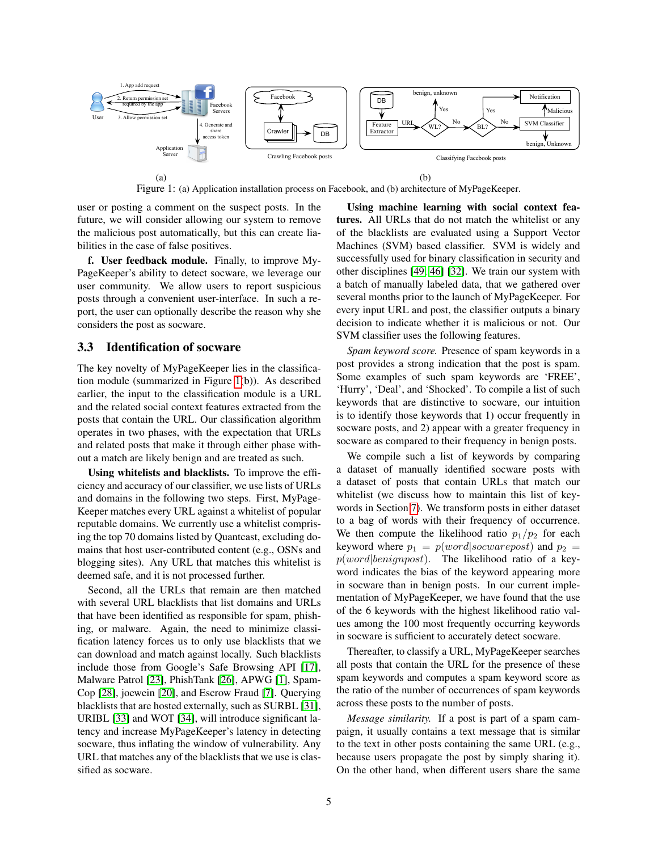

Figure 1: (a) Application installation process on Facebook, and (b) architecture of MyPageKeeper.

user or posting a comment on the suspect posts. In the future, we will consider allowing our system to remove the malicious post automatically, but this can create liabilities in the case of false positives.

f. User feedback module. Finally, to improve My-PageKeeper's ability to detect socware, we leverage our user community. We allow users to report suspicious posts through a convenient user-interface. In such a report, the user can optionally describe the reason why she considers the post as socware.

#### <span id="page-4-1"></span>3.3 Identification of socware

The key novelty of MyPageKeeper lies in the classification module (summarized in Figure [1\(](#page-4-0)b)). As described earlier, the input to the classification module is a URL and the related social context features extracted from the posts that contain the URL. Our classification algorithm operates in two phases, with the expectation that URLs and related posts that make it through either phase without a match are likely benign and are treated as such.

Using whitelists and blacklists. To improve the efficiency and accuracy of our classifier, we use lists of URLs and domains in the following two steps. First, MyPage-Keeper matches every URL against a whitelist of popular reputable domains. We currently use a whitelist comprising the top 70 domains listed by Quantcast, excluding domains that host user-contributed content (e.g., OSNs and blogging sites). Any URL that matches this whitelist is deemed safe, and it is not processed further.

Second, all the URLs that remain are then matched with several URL blacklists that list domains and URLs that have been identified as responsible for spam, phishing, or malware. Again, the need to minimize classification latency forces us to only use blacklists that we can download and match against locally. Such blacklists include those from Google's Safe Browsing API [\[17\]](#page-15-10), Malware Patrol [\[23\]](#page-15-11), PhishTank [\[26\]](#page-15-12), APWG [\[1\]](#page-14-5), Spam-Cop [\[28\]](#page-15-2), joewein [\[20\]](#page-15-13), and Escrow Fraud [\[7\]](#page-14-6). Querying blacklists that are hosted externally, such as SURBL [\[31\]](#page-15-14), URIBL [\[33\]](#page-15-15) and WOT [\[34\]](#page-15-16), will introduce significant latency and increase MyPageKeeper's latency in detecting socware, thus inflating the window of vulnerability. Any URL that matches any of the blacklists that we use is classified as socware.

<span id="page-4-0"></span>Using machine learning with social context features. All URLs that do not match the whitelist or any of the blacklists are evaluated using a Support Vector Machines (SVM) based classifier. SVM is widely and successfully used for binary classification in security and other disciplines [\[49,](#page-15-17) [46\]](#page-15-18) [\[32\]](#page-15-19). We train our system with a batch of manually labeled data, that we gathered over several months prior to the launch of MyPageKeeper. For every input URL and post, the classifier outputs a binary decision to indicate whether it is malicious or not. Our SVM classifier uses the following features.

*Spam keyword score.* Presence of spam keywords in a post provides a strong indication that the post is spam. Some examples of such spam keywords are 'FREE', 'Hurry', 'Deal', and 'Shocked'. To compile a list of such keywords that are distinctive to socware, our intuition is to identify those keywords that 1) occur frequently in socware posts, and 2) appear with a greater frequency in socware as compared to their frequency in benign posts.

We compile such a list of keywords by comparing a dataset of manually identified socware posts with a dataset of posts that contain URLs that match our whitelist (we discuss how to maintain this list of keywords in Section [7\)](#page-12-0). We transform posts in either dataset to a bag of words with their frequency of occurrence. We then compute the likelihood ratio  $p_1/p_2$  for each keyword where  $p_1 = p(word|socwarepost)$  and  $p_2 =$  $p(word|benignpost)$ . The likelihood ratio of a keyword indicates the bias of the keyword appearing more in socware than in benign posts. In our current implementation of MyPageKeeper, we have found that the use of the 6 keywords with the highest likelihood ratio values among the 100 most frequently occurring keywords in socware is sufficient to accurately detect socware.

Thereafter, to classify a URL, MyPageKeeper searches all posts that contain the URL for the presence of these spam keywords and computes a spam keyword score as the ratio of the number of occurrences of spam keywords across these posts to the number of posts.

*Message similarity.* If a post is part of a spam campaign, it usually contains a text message that is similar to the text in other posts containing the same URL (e.g., because users propagate the post by simply sharing it). On the other hand, when different users share the same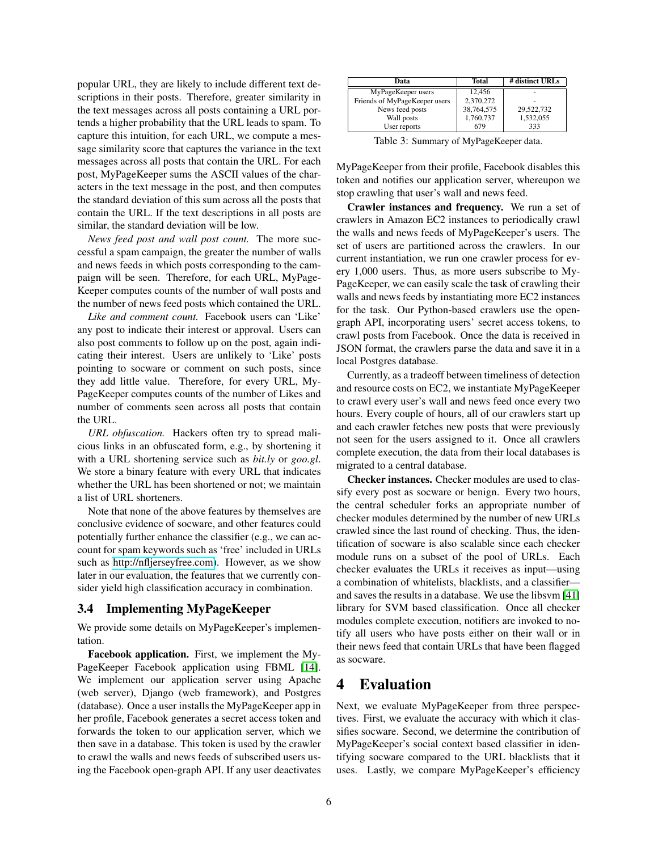popular URL, they are likely to include different text descriptions in their posts. Therefore, greater similarity in the text messages across all posts containing a URL portends a higher probability that the URL leads to spam. To capture this intuition, for each URL, we compute a message similarity score that captures the variance in the text messages across all posts that contain the URL. For each post, MyPageKeeper sums the ASCII values of the characters in the text message in the post, and then computes the standard deviation of this sum across all the posts that contain the URL. If the text descriptions in all posts are similar, the standard deviation will be low.

*News feed post and wall post count.* The more successful a spam campaign, the greater the number of walls and news feeds in which posts corresponding to the campaign will be seen. Therefore, for each URL, MyPage-Keeper computes counts of the number of wall posts and the number of news feed posts which contained the URL.

*Like and comment count.* Facebook users can 'Like' any post to indicate their interest or approval. Users can also post comments to follow up on the post, again indicating their interest. Users are unlikely to 'Like' posts pointing to socware or comment on such posts, since they add little value. Therefore, for every URL, My-PageKeeper computes counts of the number of Likes and number of comments seen across all posts that contain the URL.

*URL obfuscation.* Hackers often try to spread malicious links in an obfuscated form, e.g., by shortening it with a URL shortening service such as *bit.ly* or *goo.gl*. We store a binary feature with every URL that indicates whether the URL has been shortened or not; we maintain a list of URL shorteners.

Note that none of the above features by themselves are conclusive evidence of socware, and other features could potentially further enhance the classifier (e.g., we can account for spam keywords such as 'free' included in URLs such as [http://nfljerseyfree.com\)](http://nfljerseyfree.com). However, as we show later in our evaluation, the features that we currently consider yield high classification accuracy in combination.

#### 3.4 Implementing MyPageKeeper

We provide some details on MyPageKeeper's implementation.

Facebook application. First, we implement the My-PageKeeper Facebook application using FBML [\[14\]](#page-14-7). We implement our application server using Apache (web server), Django (web framework), and Postgres (database). Once a user installs the MyPageKeeper app in her profile, Facebook generates a secret access token and forwards the token to our application server, which we then save in a database. This token is used by the crawler to crawl the walls and news feeds of subscribed users using the Facebook open-graph API. If any user deactivates

| Data                          | <b>Total</b> | # distinct URLs |
|-------------------------------|--------------|-----------------|
| MyPageKeeper users            | 12.456       |                 |
| Friends of MyPageKeeper users | 2,370,272    |                 |
| News feed posts               | 38,764,575   | 29,522,732      |
| Wall posts                    | 1,760,737    | 1.532.055       |
| User reports                  | 679          | 333             |

<span id="page-5-0"></span>Table 3: Summary of MyPageKeeper data.

MyPageKeeper from their profile, Facebook disables this token and notifies our application server, whereupon we stop crawling that user's wall and news feed.

Crawler instances and frequency. We run a set of crawlers in Amazon EC2 instances to periodically crawl the walls and news feeds of MyPageKeeper's users. The set of users are partitioned across the crawlers. In our current instantiation, we run one crawler process for every 1,000 users. Thus, as more users subscribe to My-PageKeeper, we can easily scale the task of crawling their walls and news feeds by instantiating more EC2 instances for the task. Our Python-based crawlers use the opengraph API, incorporating users' secret access tokens, to crawl posts from Facebook. Once the data is received in JSON format, the crawlers parse the data and save it in a local Postgres database.

Currently, as a tradeoff between timeliness of detection and resource costs on EC2, we instantiate MyPageKeeper to crawl every user's wall and news feed once every two hours. Every couple of hours, all of our crawlers start up and each crawler fetches new posts that were previously not seen for the users assigned to it. Once all crawlers complete execution, the data from their local databases is migrated to a central database.

Checker instances. Checker modules are used to classify every post as socware or benign. Every two hours, the central scheduler forks an appropriate number of checker modules determined by the number of new URLs crawled since the last round of checking. Thus, the identification of socware is also scalable since each checker module runs on a subset of the pool of URLs. Each checker evaluates the URLs it receives as input—using a combination of whitelists, blacklists, and a classifier and saves the results in a database. We use the libsvm [\[41\]](#page-15-20) library for SVM based classification. Once all checker modules complete execution, notifiers are invoked to notify all users who have posts either on their wall or in their news feed that contain URLs that have been flagged as socware.

# <span id="page-5-1"></span>4 Evaluation

Next, we evaluate MyPageKeeper from three perspectives. First, we evaluate the accuracy with which it classifies socware. Second, we determine the contribution of MyPageKeeper's social context based classifier in identifying socware compared to the URL blacklists that it uses. Lastly, we compare MyPageKeeper's efficiency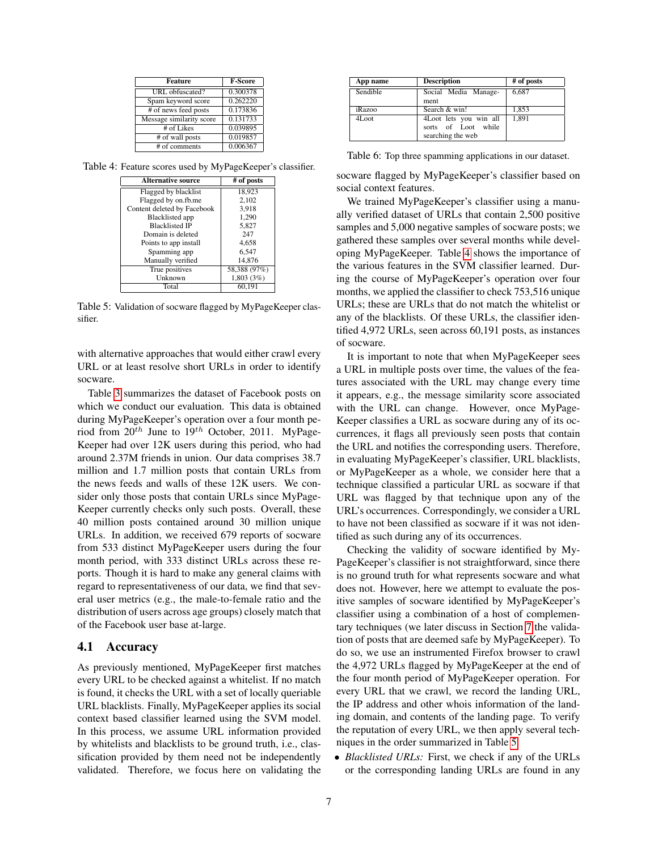| <b>Feature</b>           | <b>F-Score</b> |
|--------------------------|----------------|
| URL obfuscated?          | 0.300378       |
| Spam keyword score       | 0.262220       |
| # of news feed posts     | 0.173836       |
| Message similarity score | 0.131733       |
| # of Likes               | 0.039895       |
| # of wall posts          | 0.019857       |
| # of comments            | 0.006367       |

<span id="page-6-0"></span>Table 4: Feature scores used by MyPageKeeper's classifier.

| <b>Alternative source</b>   | # of posts   |
|-----------------------------|--------------|
| Flagged by blacklist        | 18,923       |
| Flagged by on.fb.me         | 2,102        |
| Content deleted by Facebook | 3,918        |
| <b>Blacklisted app</b>      | 1,290        |
| <b>Blacklisted IP</b>       | 5,827        |
| Domain is deleted           | 247          |
| Points to app install       | 4,658        |
| Spamming app                | 6,547        |
| Manually verified           | 14.876       |
| True positives              | 58,388 (97%) |
| Unknown                     | 1,803(3%)    |
| Total                       | 60.191       |

Table 5: Validation of socware flagged by MyPageKeeper classifier.

with alternative approaches that would either crawl every URL or at least resolve short URLs in order to identify socware.

Table [3](#page-5-0) summarizes the dataset of Facebook posts on which we conduct our evaluation. This data is obtained during MyPageKeeper's operation over a four month period from  $20^{th}$  June to  $19^{th}$  October, 2011. MyPage-Keeper had over 12K users during this period, who had around 2.37M friends in union. Our data comprises 38.7 million and 1.7 million posts that contain URLs from the news feeds and walls of these 12K users. We consider only those posts that contain URLs since MyPage-Keeper currently checks only such posts. Overall, these 40 million posts contained around 30 million unique URLs. In addition, we received 679 reports of socware from 533 distinct MyPageKeeper users during the four month period, with 333 distinct URLs across these reports. Though it is hard to make any general claims with regard to representativeness of our data, we find that several user metrics (e.g., the male-to-female ratio and the distribution of users across age groups) closely match that of the Facebook user base at-large.

#### 4.1 Accuracy

As previously mentioned, MyPageKeeper first matches every URL to be checked against a whitelist. If no match is found, it checks the URL with a set of locally queriable URL blacklists. Finally, MyPageKeeper applies its social context based classifier learned using the SVM model. In this process, we assume URL information provided by whitelists and blacklists to be ground truth, i.e., classification provided by them need not be independently validated. Therefore, we focus here on validating the

<span id="page-6-2"></span>

| App name | <b>Description</b>                                                 | # of posts |
|----------|--------------------------------------------------------------------|------------|
| Sendible | Social Media Manage-<br>ment                                       | 6.687      |
| iRazoo   | Search & win!                                                      | 1.853      |
| 4Loot    | 4Loot lets you win all<br>sorts of Loot while<br>searching the web | 1,891      |

Table 6: Top three spamming applications in our dataset.

socware flagged by MyPageKeeper's classifier based on social context features.

<span id="page-6-1"></span>We trained MyPageKeeper's classifier using a manually verified dataset of URLs that contain 2,500 positive samples and 5,000 negative samples of socware posts; we gathered these samples over several months while developing MyPageKeeper. Table [4](#page-6-0) shows the importance of the various features in the SVM classifier learned. During the course of MyPageKeeper's operation over four months, we applied the classifier to check 753,516 unique URLs; these are URLs that do not match the whitelist or any of the blacklists. Of these URLs, the classifier identified 4,972 URLs, seen across 60,191 posts, as instances of socware.

It is important to note that when MyPageKeeper sees a URL in multiple posts over time, the values of the features associated with the URL may change every time it appears, e.g., the message similarity score associated with the URL can change. However, once MyPage-Keeper classifies a URL as socware during any of its occurrences, it flags all previously seen posts that contain the URL and notifies the corresponding users. Therefore, in evaluating MyPageKeeper's classifier, URL blacklists, or MyPageKeeper as a whole, we consider here that a technique classified a particular URL as socware if that URL was flagged by that technique upon any of the URL's occurrences. Correspondingly, we consider a URL to have not been classified as socware if it was not identified as such during any of its occurrences.

Checking the validity of socware identified by My-PageKeeper's classifier is not straightforward, since there is no ground truth for what represents socware and what does not. However, here we attempt to evaluate the positive samples of socware identified by MyPageKeeper's classifier using a combination of a host of complementary techniques (we later discuss in Section [7](#page-12-0) the validation of posts that are deemed safe by MyPageKeeper). To do so, we use an instrumented Firefox browser to crawl the 4,972 URLs flagged by MyPageKeeper at the end of the four month period of MyPageKeeper operation. For every URL that we crawl, we record the landing URL, the IP address and other whois information of the landing domain, and contents of the landing page. To verify the reputation of every URL, we then apply several techniques in the order summarized in Table [5.](#page-6-1)

• *Blacklisted URLs:* First, we check if any of the URLs or the corresponding landing URLs are found in any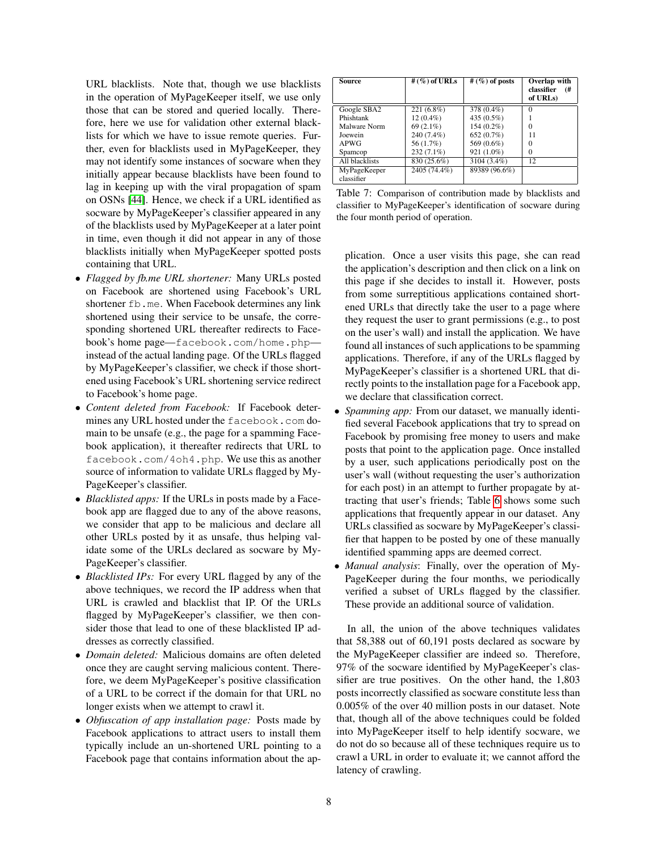URL blacklists. Note that, though we use blacklists in the operation of MyPageKeeper itself, we use only those that can be stored and queried locally. Therefore, here we use for validation other external blacklists for which we have to issue remote queries. Further, even for blacklists used in MyPageKeeper, they may not identify some instances of socware when they initially appear because blacklists have been found to lag in keeping up with the viral propagation of spam on OSNs [\[44\]](#page-15-7). Hence, we check if a URL identified as socware by MyPageKeeper's classifier appeared in any of the blacklists used by MyPageKeeper at a later point in time, even though it did not appear in any of those blacklists initially when MyPageKeeper spotted posts containing that URL.

- *Flagged by fb.me URL shortener:* Many URLs posted on Facebook are shortened using Facebook's URL shortener fb.me. When Facebook determines any link shortened using their service to be unsafe, the corresponding shortened URL thereafter redirects to Facebook's home page—facebook.com/home.php instead of the actual landing page. Of the URLs flagged by MyPageKeeper's classifier, we check if those shortened using Facebook's URL shortening service redirect to Facebook's home page.
- *Content deleted from Facebook:* If Facebook determines any URL hosted under the facebook.com domain to be unsafe (e.g., the page for a spamming Facebook application), it thereafter redirects that URL to facebook.com/4oh4.php. We use this as another source of information to validate URLs flagged by My-PageKeeper's classifier.
- *Blacklisted apps:* If the URLs in posts made by a Facebook app are flagged due to any of the above reasons, we consider that app to be malicious and declare all other URLs posted by it as unsafe, thus helping validate some of the URLs declared as socware by My-PageKeeper's classifier.
- *Blacklisted IPs:* For every URL flagged by any of the above techniques, we record the IP address when that URL is crawled and blacklist that IP. Of the URLs flagged by MyPageKeeper's classifier, we then consider those that lead to one of these blacklisted IP addresses as correctly classified.
- *Domain deleted:* Malicious domains are often deleted once they are caught serving malicious content. Therefore, we deem MyPageKeeper's positive classification of a URL to be correct if the domain for that URL no longer exists when we attempt to crawl it.
- *Obfuscation of app installation page:* Posts made by Facebook applications to attract users to install them typically include an un-shortened URL pointing to a Facebook page that contains information about the ap-

<span id="page-7-0"></span>

| Source         | # $(\%)$ of URLs | # $(\%)$ of posts | $Overlap$ with<br>classifier<br>(#<br>of URLs) |
|----------------|------------------|-------------------|------------------------------------------------|
| Google SBA2    | $221(6.8\%)$     | 378 (0.4%)        | $\Omega$                                       |
| Phishtank      | $12(0.4\%)$      | 435 (0.5%)        |                                                |
| Malware Norm   | $69(2.1\%)$      | 154 (0.2%)        | $\Omega$                                       |
| Joewein        | 240 (7.4%)       | 652(0.7%)         | 11                                             |
| APWG           | 56 (1.7%)        | 569 (0.6%)        | 0                                              |
| Spamcop        | 232 (7.1%)       | 921 (1.0%)        | $\Omega$                                       |
| All blacklists | 830 (25.6%)      | 3104 (3.4%)       | 12                                             |
| MyPageKeeper   | 2405 (74.4%)     | 89389 (96.6%)     |                                                |
| classifier     |                  |                   |                                                |

Table 7: Comparison of contribution made by blacklists and classifier to MyPageKeeper's identification of socware during the four month period of operation.

plication. Once a user visits this page, she can read the application's description and then click on a link on this page if she decides to install it. However, posts from some surreptitious applications contained shortened URLs that directly take the user to a page where they request the user to grant permissions (e.g., to post on the user's wall) and install the application. We have found all instances of such applications to be spamming applications. Therefore, if any of the URLs flagged by MyPageKeeper's classifier is a shortened URL that directly points to the installation page for a Facebook app, we declare that classification correct.

- *Spamming app:* From our dataset, we manually identified several Facebook applications that try to spread on Facebook by promising free money to users and make posts that point to the application page. Once installed by a user, such applications periodically post on the user's wall (without requesting the user's authorization for each post) in an attempt to further propagate by attracting that user's friends; Table [6](#page-6-2) shows some such applications that frequently appear in our dataset. Any URLs classified as socware by MyPageKeeper's classifier that happen to be posted by one of these manually identified spamming apps are deemed correct.
- *Manual analysis*: Finally, over the operation of My-PageKeeper during the four months, we periodically verified a subset of URLs flagged by the classifier. These provide an additional source of validation.

<span id="page-7-1"></span>In all, the union of the above techniques validates that 58,388 out of 60,191 posts declared as socware by the MyPageKeeper classifier are indeed so. Therefore, 97% of the socware identified by MyPageKeeper's classifier are true positives. On the other hand, the 1,803 posts incorrectly classified as socware constitute less than 0.005% of the over 40 million posts in our dataset. Note that, though all of the above techniques could be folded into MyPageKeeper itself to help identify socware, we do not do so because all of these techniques require us to crawl a URL in order to evaluate it; we cannot afford the latency of crawling.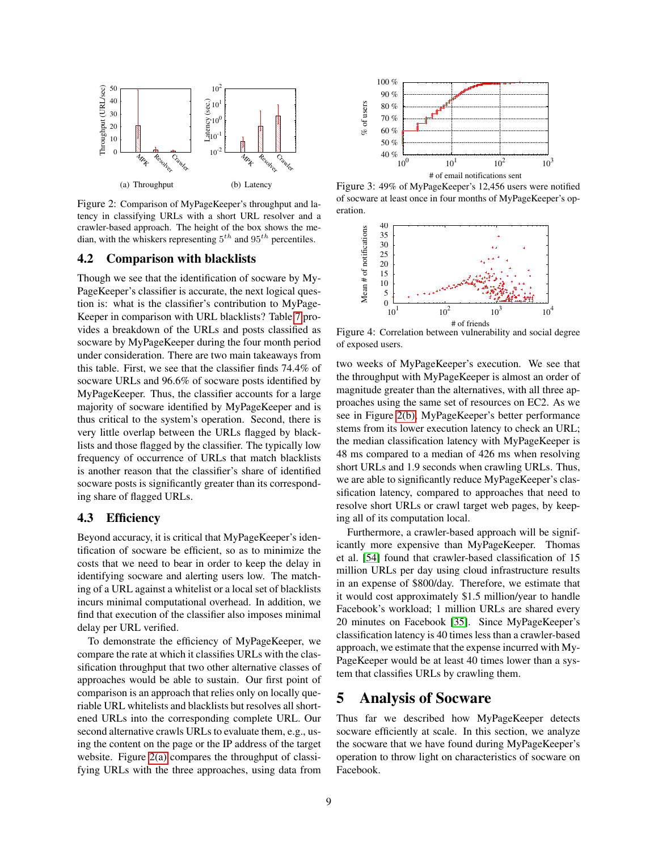<span id="page-8-0"></span>

Figure 2: Comparison of MyPageKeeper's throughput and latency in classifying URLs with a short URL resolver and a crawler-based approach. The height of the box shows the median, with the whiskers representing  $5^{th}$  and  $95^{th}$  percentiles.

#### 4.2 Comparison with blacklists

<span id="page-8-1"></span>Though we see that the identification of socware by My-PageKeeper's classifier is accurate, the next logical question is: what is the classifier's contribution to MyPage-Keeper in comparison with URL blacklists? Table [7](#page-7-0) provides a breakdown of the URLs and posts classified as socware by MyPageKeeper during the four month period under consideration. There are two main takeaways from this table. First, we see that the classifier finds 74.4% of socware URLs and 96.6% of socware posts identified by MyPageKeeper. Thus, the classifier accounts for a large majority of socware identified by MyPageKeeper and is thus critical to the system's operation. Second, there is very little overlap between the URLs flagged by blacklists and those flagged by the classifier. The typically low frequency of occurrence of URLs that match blacklists is another reason that the classifier's share of identified socware posts is significantly greater than its corresponding share of flagged URLs. Figure 2: Computerion of MyPlaget and the three approaches with the three approaches with the three approach (5) Latency<br>
Figure 3: 49% or the three approach (6) Latency<br>
tensy in classifying URLs with a short URL scenove

#### 4.3 Efficiency

Beyond accuracy, it is critical that MyPageKeeper's identification of socware be efficient, so as to minimize the costs that we need to bear in order to keep the delay in identifying socware and alerting users low. The matching of a URL against a whitelist or a local set of blacklists incurs minimal computational overhead. In addition, we find that execution of the classifier also imposes minimal delay per URL verified.

To demonstrate the efficiency of MyPageKeeper, we compare the rate at which it classifies URLs with the classification throughput that two other alternative classes of approaches would be able to sustain. Our first point of comparison is an approach that relies only on locally queriable URL whitelists and blacklists but resolves all shortened URLs into the corresponding complete URL. Our second alternative crawls URLs to evaluate them, e.g., using the content on the page or the IP address of the target website. Figure [2\(a\)](#page-8-0) compares the throughput of classi-



Figure 3: 49% of MyPageKeeper's 12,456 users were notified of socware at least once in four months of MyPageKeeper's operation.

<span id="page-8-3"></span><span id="page-8-2"></span>

Figure 4: Correlation between vulnerability and social degree of exposed users.

two weeks of MyPageKeeper's execution. We see that the throughput with MyPageKeeper is almost an order of magnitude greater than the alternatives, with all three approaches using the same set of resources on EC2. As we see in Figure [2\(b\),](#page-8-1) MyPageKeeper's better performance stems from its lower execution latency to check an URL; the median classification latency with MyPageKeeper is 48 ms compared to a median of 426 ms when resolving short URLs and 1.9 seconds when crawling URLs. Thus, we are able to significantly reduce MyPageKeeper's classification latency, compared to approaches that need to resolve short URLs or crawl target web pages, by keeping all of its computation local.

Furthermore, a crawler-based approach will be significantly more expensive than MyPageKeeper. Thomas et al. [\[54\]](#page-15-21) found that crawler-based classification of 15 million URLs per day using cloud infrastructure results in an expense of \$800/day. Therefore, we estimate that it would cost approximately \$1.5 million/year to handle Facebook's workload; 1 million URLs are shared every 20 minutes on Facebook [\[35\]](#page-15-22). Since MyPageKeeper's classification latency is 40 times less than a crawler-based approach, we estimate that the expense incurred with My-PageKeeper would be at least 40 times lower than a system that classifies URLs by crawling them.

# 5 Analysis of Socware

Thus far we described how MyPageKeeper detects socware efficiently at scale. In this section, we analyze the socware that we have found during MyPageKeeper's operation to throw light on characteristics of socware on Facebook.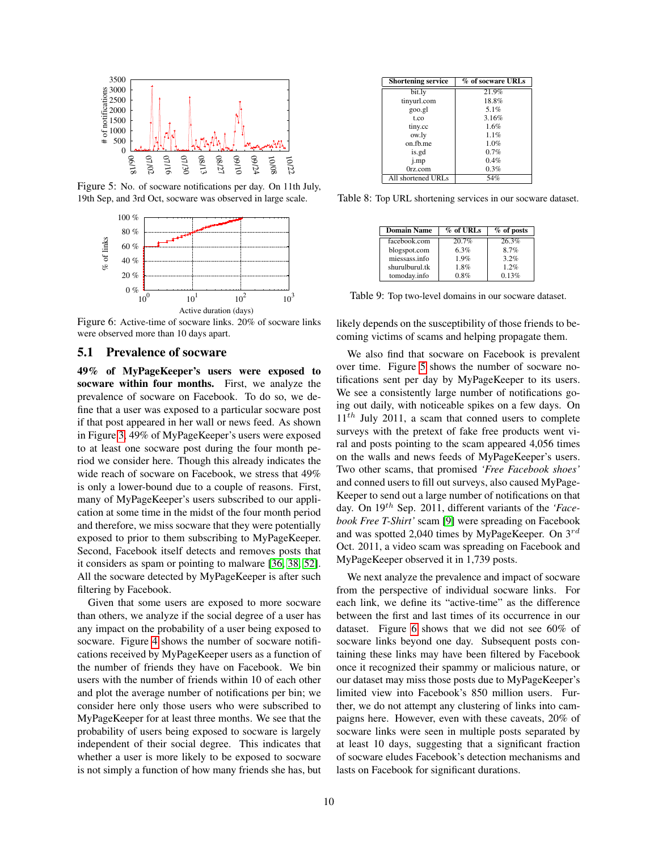

Figure 5: No. of socware notifications per day. On 11th July, 19th Sep, and 3rd Oct, socware was observed in large scale.



Figure 6: Active-time of socware links. 20% of socware links were observed more than 10 days apart.

#### 5.1 Prevalence of socware

49% of MyPageKeeper's users were exposed to socware within four months. First, we analyze the prevalence of socware on Facebook. To do so, we define that a user was exposed to a particular socware post if that post appeared in her wall or news feed. As shown in Figure [3,](#page-8-2) 49% of MyPageKeeper's users were exposed to at least one socware post during the four month period we consider here. Though this already indicates the wide reach of socware on Facebook, we stress that 49% is only a lower-bound due to a couple of reasons. First, many of MyPageKeeper's users subscribed to our application at some time in the midst of the four month period and therefore, we miss socware that they were potentially exposed to prior to them subscribing to MyPageKeeper. Second, Facebook itself detects and removes posts that it considers as spam or pointing to malware [\[36,](#page-15-23) [38,](#page-15-24) [52\]](#page-15-4). All the socware detected by MyPageKeeper is after such filtering by Facebook.

Given that some users are exposed to more socware than others, we analyze if the social degree of a user has any impact on the probability of a user being exposed to socware. Figure [4](#page-8-3) shows the number of socware notifications received by MyPageKeeper users as a function of the number of friends they have on Facebook. We bin users with the number of friends within 10 of each other and plot the average number of notifications per bin; we consider here only those users who were subscribed to MyPageKeeper for at least three months. We see that the probability of users being exposed to socware is largely independent of their social degree. This indicates that whether a user is more likely to be exposed to socware is not simply a function of how many friends she has, but

<span id="page-9-2"></span>

| <b>Shortening service</b> | % of socware URLs |
|---------------------------|-------------------|
| bit.ly                    | 21.9%             |
| tinyurl.com               | 18.8%             |
| goo.gl                    | 5.1%              |
| t.co                      | 3.16%             |
| tiny.cc                   | 1.6%              |
| ow.ly                     | 1.1%              |
| on fb me                  | 1.0%              |
| is.gd                     | 0.7%              |
| j.mp                      | 0.4%              |
| 0rz.com                   | 0.3%              |
| All shortened URLs        | 54%               |

<span id="page-9-0"></span>Table 8: Top URL shortening services in our socware dataset.

<span id="page-9-3"></span>

| <b>Domain Name</b> | % of URLs | $%$ of posts |
|--------------------|-----------|--------------|
| facebook.com       | 20.7%     | 26.3%        |
| blogspot.com       | 6.3%      | 8.7%         |
| miessass.info      | 1.9%      | 3.2%         |
| shurulburul.tk     | 1.8%      | 1.2%         |
| tomoday.info       | 0.8%      | 0.13%        |

Table 9: Top two-level domains in our socware dataset.

<span id="page-9-1"></span>likely depends on the susceptibility of those friends to becoming victims of scams and helping propagate them.

We also find that socware on Facebook is prevalent over time. Figure [5](#page-9-0) shows the number of socware notifications sent per day by MyPageKeeper to its users. We see a consistently large number of notifications going out daily, with noticeable spikes on a few days. On  $11<sup>th</sup>$  July 2011, a scam that conned users to complete surveys with the pretext of fake free products went viral and posts pointing to the scam appeared 4,056 times on the walls and news feeds of MyPageKeeper's users. Two other scams, that promised *'Free Facebook shoes'* and conned users to fill out surveys, also caused MyPage-Keeper to send out a large number of notifications on that day. On 19<sup>th</sup> Sep. 2011, different variants of the *'Facebook Free T-Shirt'* scam [\[9\]](#page-14-4) were spreading on Facebook and was spotted 2,040 times by MyPageKeeper. On  $3^{rd}$ Oct. 2011, a video scam was spreading on Facebook and MyPageKeeper observed it in 1,739 posts.

We next analyze the prevalence and impact of socware from the perspective of individual socware links. For each link, we define its "active-time" as the difference between the first and last times of its occurrence in our dataset. Figure [6](#page-9-1) shows that we did not see 60% of socware links beyond one day. Subsequent posts containing these links may have been filtered by Facebook once it recognized their spammy or malicious nature, or our dataset may miss those posts due to MyPageKeeper's limited view into Facebook's 850 million users. Further, we do not attempt any clustering of links into campaigns here. However, even with these caveats, 20% of socware links were seen in multiple posts separated by at least 10 days, suggesting that a significant fraction of socware eludes Facebook's detection mechanisms and lasts on Facebook for significant durations.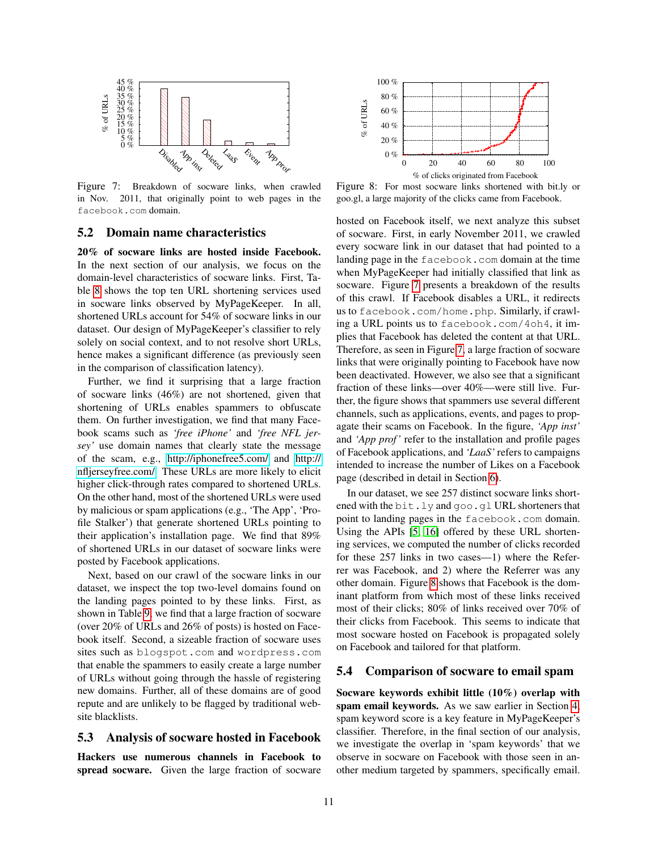

Figure 7: Breakdown of socware links, when crawled in Nov. 2011, that originally point to web pages in the facebook.com domain.

### 5.2 Domain name characteristics

20% of socware links are hosted inside Facebook. In the next section of our analysis, we focus on the domain-level characteristics of socware links. First, Table [8](#page-9-2) shows the top ten URL shortening services used in socware links observed by MyPageKeeper. In all, shortened URLs account for 54% of socware links in our dataset. Our design of MyPageKeeper's classifier to rely solely on social context, and to not resolve short URLs, hence makes a significant difference (as previously seen in the comparison of classification latency).

Further, we find it surprising that a large fraction of socware links (46%) are not shortened, given that shortening of URLs enables spammers to obfuscate them. On further investigation, we find that many Facebook scams such as *'free iPhone'* and *'free NFL jersey'* use domain names that clearly state the message of the scam, e.g.,<http://iphonefree5.com/> and [http://](http://nfljerseyfree.com/) [nfljerseyfree.com/.](http://nfljerseyfree.com/) These URLs are more likely to elicit higher click-through rates compared to shortened URLs. On the other hand, most of the shortened URLs were used by malicious or spam applications (e.g., 'The App', 'Profile Stalker') that generate shortened URLs pointing to their application's installation page. We find that 89% of shortened URLs in our dataset of socware links were posted by Facebook applications. Figure 7: Breakdown of socware links, when crawded Figure 8: For in Now, 2011, that originally point to web pages in the good, altage mini-<br>figure 7: Breakdown of socware links, when crawded Figure 8: For in Nost 2011, th

Next, based on our crawl of the socware links in our dataset, we inspect the top two-level domains found on the landing pages pointed to by these links. First, as shown in Table [9,](#page-9-3) we find that a large fraction of socware (over 20% of URLs and 26% of posts) is hosted on Facebook itself. Second, a sizeable fraction of socware uses sites such as blogspot.com and wordpress.com that enable the spammers to easily create a large number of URLs without going through the hassle of registering new domains. Further, all of these domains are of good repute and are unlikely to be flagged by traditional website blacklists.

#### 5.3 Analysis of socware hosted in Facebook

Hackers use numerous channels in Facebook to

<span id="page-10-1"></span>

<span id="page-10-0"></span>Figure 8: For most socware links shortened with bit.ly or goo.gl, a large majority of the clicks came from Facebook.

hosted on Facebook itself, we next analyze this subset of socware. First, in early November 2011, we crawled every socware link in our dataset that had pointed to a landing page in the facebook.com domain at the time when MyPageKeeper had initially classified that link as socware. Figure [7](#page-10-0) presents a breakdown of the results of this crawl. If Facebook disables a URL, it redirects us to facebook.com/home.php. Similarly, if crawling a URL points us to facebook.com/4oh4, it implies that Facebook has deleted the content at that URL. Therefore, as seen in Figure [7,](#page-10-0) a large fraction of socware links that were originally pointing to Facebook have now been deactivated. However, we also see that a significant fraction of these links—over 40%—were still live. Further, the figure shows that spammers use several different channels, such as applications, events, and pages to propagate their scams on Facebook. In the figure, *'App inst'* and *'App prof'* refer to the installation and profile pages of Facebook applications, and *'LaaS'* refers to campaigns intended to increase the number of Likes on a Facebook page (described in detail in Section [6\)](#page-11-0).

In our dataset, we see 257 distinct socware links shortened with the bit.ly and goo.gl URL shorteners that point to landing pages in the facebook.com domain. Using the APIs [\[5,](#page-14-8) [16\]](#page-15-25) offered by these URL shortening services, we computed the number of clicks recorded for these 257 links in two cases—1) where the Referrer was Facebook, and 2) where the Referrer was any other domain. Figure [8](#page-10-1) shows that Facebook is the dominant platform from which most of these links received most of their clicks; 80% of links received over 70% of their clicks from Facebook. This seems to indicate that most socware hosted on Facebook is propagated solely on Facebook and tailored for that platform.

#### 5.4 Comparison of socware to email spam

Socware keywords exhibit little (10%) overlap with spam email keywords. As we saw earlier in Section [4,](#page-5-1) spam keyword score is a key feature in MyPageKeeper's classifier. Therefore, in the final section of our analysis, we investigate the overlap in 'spam keywords' that we observe in socware on Facebook with those seen in another medium targeted by spammers, specifically email.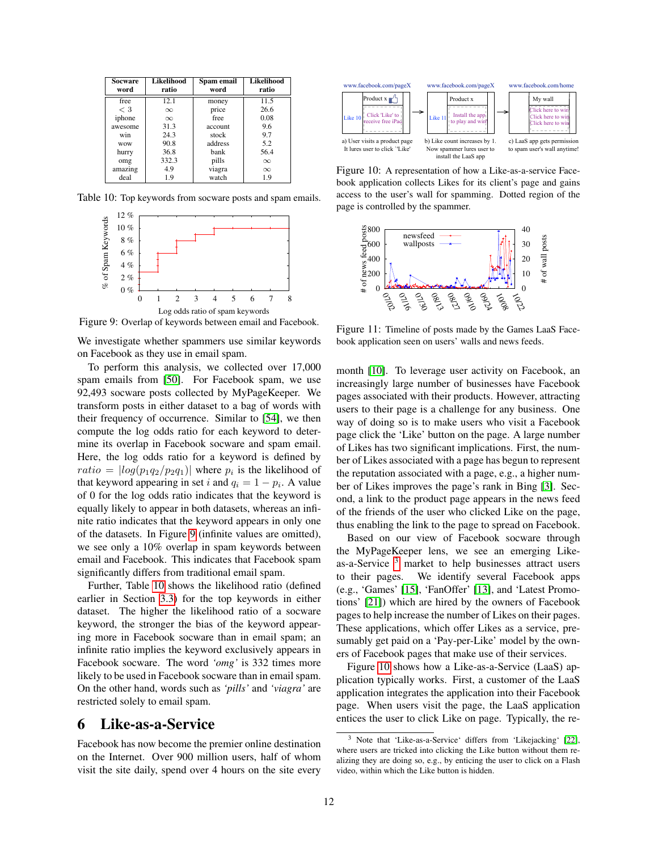| <b>Socware</b> | <b>Likelihood</b> | Spam email | <b>Likelihood</b> |
|----------------|-------------------|------------|-------------------|
| word           | ratio             | word       | ratio             |
| free           | 12.1              | money      | 11.5              |
| $<$ 3          | $\infty$          | price      | 26.6              |
| iphone         | $\infty$          | free       | 0.08              |
| awesome        | 31.3              | account    | 9.6               |
| win            | 24.3              | stock      | 9.7               |
| <b>WOW</b>     | 90.8              | address    | 5.2               |
| hurry          | 36.8              | bank       | 56.4              |
| omg            | 332.3             | pills      | $\infty$          |
| amazing        | 4.9               | viagra     | $\infty$          |
| deal           | 1.9               | watch      | 1.9               |

Table 10: Top keywords from socware posts and spam emails.



Figure 9: Overlap of keywords between email and Facebook.

We investigate whether spammers use similar keywords on Facebook as they use in email spam.

To perform this analysis, we collected over 17,000 spam emails from [\[50\]](#page-15-26). For Facebook spam, we use 92,493 socware posts collected by MyPageKeeper. We transform posts in either dataset to a bag of words with their frequency of occurrence. Similar to [\[54\]](#page-15-21), we then compute the log odds ratio for each keyword to determine its overlap in Facebook socware and spam email. Here, the log odds ratio for a keyword is defined by  $ratio = |log(p_1q_2/p_2q_1)|$  where  $p_i$  is the likelihood of that keyword appearing in set i and  $q_i = 1 - p_i$ . A value of 0 for the log odds ratio indicates that the keyword is equally likely to appear in both datasets, whereas an infinite ratio indicates that the keyword appears in only one of the datasets. In Figure [9](#page-11-1) (infinite values are omitted), we see only a 10% overlap in spam keywords between email and Facebook. This indicates that Facebook spam significantly differs from traditional email spam.

Further, Table [10](#page-11-2) shows the likelihood ratio (defined earlier in Section [3.3\)](#page-4-1) for the top keywords in either dataset. The higher the likelihood ratio of a socware keyword, the stronger the bias of the keyword appearing more in Facebook socware than in email spam; an infinite ratio implies the keyword exclusively appears in Facebook socware. The word *'omg'* is 332 times more likely to be used in Facebook socware than in email spam. On the other hand, words such as *'pills'* and *'viagra'* are restricted solely to email spam.

# <span id="page-11-0"></span>6 Like-as-a-Service

Facebook has now become the premier online destination on the Internet. Over 900 million users, half of whom visit the site daily, spend over 4 hours on the site every

<span id="page-11-2"></span>

Figure 10: A representation of how a Like-as-a-service Facebook application collects Likes for its client's page and gains access to the user's wall for spamming. Dotted region of the page is controlled by the spammer.

<span id="page-11-4"></span>

<span id="page-11-5"></span><span id="page-11-1"></span>Figure 11: Timeline of posts made by the Games LaaS Facebook application seen on users' walls and news feeds.

month [\[10\]](#page-14-9). To leverage user activity on Facebook, an increasingly large number of businesses have Facebook pages associated with their products. However, attracting users to their page is a challenge for any business. One way of doing so is to make users who visit a Facebook page click the 'Like' button on the page. A large number of Likes has two significant implications. First, the number of Likes associated with a page has begun to represent the reputation associated with a page, e.g., a higher number of Likes improves the page's rank in Bing [\[3\]](#page-14-10). Second, a link to the product page appears in the news feed of the friends of the user who clicked Like on the page, thus enabling the link to the page to spread on Facebook.

Based on our view of Facebook socware through the MyPageKeeper lens, we see an emerging Likeas-a-Service  $3$  market to help businesses attract users to their pages. We identify several Facebook apps (e.g., 'Games' [\[15\]](#page-15-27), 'FanOffer' [\[13\]](#page-14-11), and 'Latest Promotions' [\[21\]](#page-15-28)) which are hired by the owners of Facebook pages to help increase the number of Likes on their pages. These applications, which offer Likes as a service, presumably get paid on a 'Pay-per-Like' model by the owners of Facebook pages that make use of their services.

Figure [10](#page-11-4) shows how a Like-as-a-Service (LaaS) application typically works. First, a customer of the LaaS application integrates the application into their Facebook page. When users visit the page, the LaaS application entices the user to click Like on page. Typically, the re-

<span id="page-11-3"></span><sup>3</sup> Note that 'Like-as-a-Service' differs from 'Likejacking' [\[22\]](#page-15-29), where users are tricked into clicking the Like button without them realizing they are doing so, e.g., by enticing the user to click on a Flash video, within which the Like button is hidden.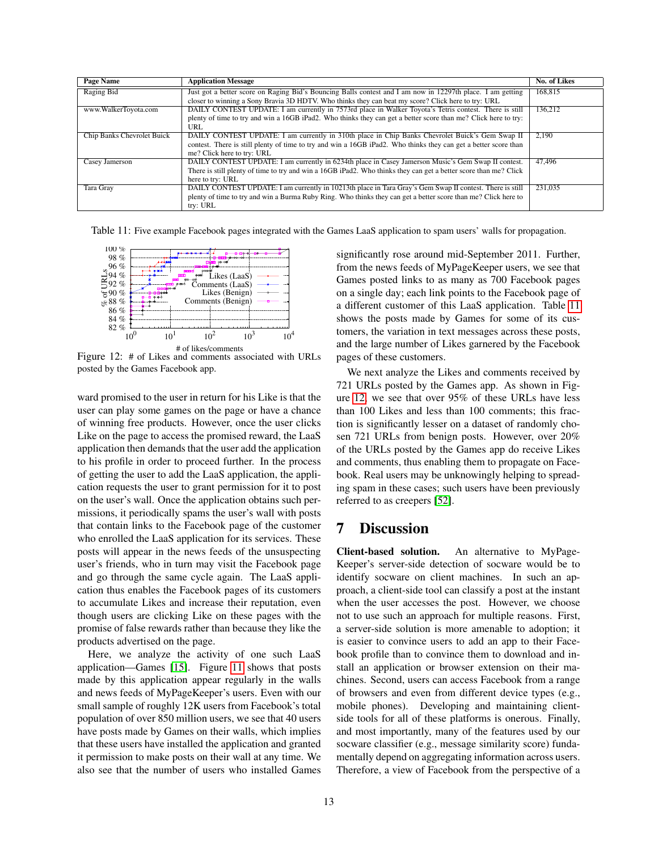| Page Name                  | <b>Application Message</b>                                                                                       | No. of Likes |
|----------------------------|------------------------------------------------------------------------------------------------------------------|--------------|
| Raging Bid                 | Just got a better score on Raging Bid's Bouncing Balls contest and I am now in 12297th place. I am getting       | 168,815      |
|                            | closer to winning a Sony Bravia 3D HDTV. Who thinks they can beat my score? Click here to try: URL               |              |
| www.WalkerToyota.com       | DAILY CONTEST UPDATE: I am currently in 7573rd place in Walker Toyota's Tetris contest. There is still           | 136,212      |
|                            | plenty of time to try and win a 16GB iPad2. Who thinks they can get a better score than me? Click here to try:   |              |
|                            | URL                                                                                                              |              |
| Chip Banks Chevrolet Buick | DAILY CONTEST UPDATE: I am currently in 310th place in Chip Banks Chevrolet Buick's Gem Swap II                  | 2.190        |
|                            | contest. There is still plenty of time to try and win a 16GB iPad2. Who thinks they can get a better score than  |              |
|                            | me? Click here to try: URL                                                                                       |              |
| Casey Jamerson             | DAILY CONTEST UPDATE: I am currently in 6234th place in Casey Jamerson Music's Gem Swap II contest.              | 47,496       |
|                            | There is still plenty of time to try and win a 16GB iPad2. Who thinks they can get a better score than me? Click |              |
|                            | here to try: URL                                                                                                 |              |
| <b>Tara Gray</b>           | DAILY CONTEST UPDATE: I am currently in 10213th place in Tara Gray's Gem Swap II contest. There is still         | 231.035      |
|                            | plenty of time to try and win a Burma Ruby Ring. Who thinks they can get a better score than me? Click here to   |              |
|                            | try: URL                                                                                                         |              |

Table 11: Five example Facebook pages integrated with the Games LaaS application to spam users' walls for propagation.

![](_page_12_Figure_2.jpeg)

Figure 12: # of Likes and comments associated with URLs posted by the Games Facebook app.

ward promised to the user in return for his Like is that the user can play some games on the page or have a chance of winning free products. However, once the user clicks Like on the page to access the promised reward, the LaaS application then demands that the user add the application to his profile in order to proceed further. In the process of getting the user to add the LaaS application, the application requests the user to grant permission for it to post on the user's wall. Once the application obtains such permissions, it periodically spams the user's wall with posts that contain links to the Facebook page of the customer who enrolled the LaaS application for its services. These posts will appear in the news feeds of the unsuspecting user's friends, who in turn may visit the Facebook page and go through the same cycle again. The LaaS application thus enables the Facebook pages of its customers to accumulate Likes and increase their reputation, even though users are clicking Like on these pages with the promise of false rewards rather than because they like the products advertised on the page.

Here, we analyze the activity of one such LaaS application—Games [\[15\]](#page-15-27). Figure [11](#page-11-5) shows that posts made by this application appear regularly in the walls and news feeds of MyPageKeeper's users. Even with our small sample of roughly 12K users from Facebook's total population of over 850 million users, we see that 40 users have posts made by Games on their walls, which implies that these users have installed the application and granted it permission to make posts on their wall at any time. We also see that the number of users who installed Games

<span id="page-12-1"></span>significantly rose around mid-September 2011. Further, from the news feeds of MyPageKeeper users, we see that Games posted links to as many as 700 Facebook pages on a single day; each link points to the Facebook page of a different customer of this LaaS application. Table [11](#page-12-1) shows the posts made by Games for some of its customers, the variation in text messages across these posts, and the large number of Likes garnered by the Facebook pages of these customers.

<span id="page-12-2"></span>We next analyze the Likes and comments received by 721 URLs posted by the Games app. As shown in Figure [12,](#page-12-2) we see that over 95% of these URLs have less than 100 Likes and less than 100 comments; this fraction is significantly lesser on a dataset of randomly chosen 721 URLs from benign posts. However, over 20% of the URLs posted by the Games app do receive Likes and comments, thus enabling them to propagate on Facebook. Real users may be unknowingly helping to spreading spam in these cases; such users have been previously referred to as creepers [\[52\]](#page-15-4).

### <span id="page-12-0"></span>7 Discussion

Client-based solution. An alternative to MyPage-Keeper's server-side detection of socware would be to identify socware on client machines. In such an approach, a client-side tool can classify a post at the instant when the user accesses the post. However, we choose not to use such an approach for multiple reasons. First, a server-side solution is more amenable to adoption; it is easier to convince users to add an app to their Facebook profile than to convince them to download and install an application or browser extension on their machines. Second, users can access Facebook from a range of browsers and even from different device types (e.g., mobile phones). Developing and maintaining clientside tools for all of these platforms is onerous. Finally, and most importantly, many of the features used by our socware classifier (e.g., message similarity score) fundamentally depend on aggregating information across users. Therefore, a view of Facebook from the perspective of a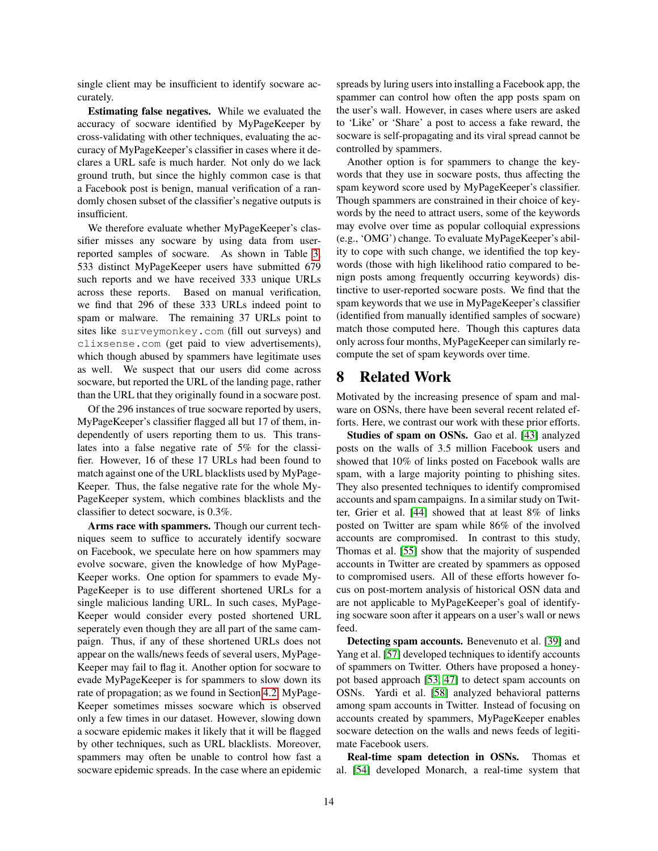single client may be insufficient to identify socware accurately.

Estimating false negatives. While we evaluated the accuracy of socware identified by MyPageKeeper by cross-validating with other techniques, evaluating the accuracy of MyPageKeeper's classifier in cases where it declares a URL safe is much harder. Not only do we lack ground truth, but since the highly common case is that a Facebook post is benign, manual verification of a randomly chosen subset of the classifier's negative outputs is insufficient.

We therefore evaluate whether MyPageKeeper's classifier misses any socware by using data from userreported samples of socware. As shown in Table [3,](#page-5-0) 533 distinct MyPageKeeper users have submitted 679 such reports and we have received 333 unique URLs across these reports. Based on manual verification, we find that 296 of these 333 URLs indeed point to spam or malware. The remaining 37 URLs point to sites like surveymonkey.com (fill out surveys) and clixsense.com (get paid to view advertisements), which though abused by spammers have legitimate uses as well. We suspect that our users did come across socware, but reported the URL of the landing page, rather than the URL that they originally found in a socware post.

Of the 296 instances of true socware reported by users, MyPageKeeper's classifier flagged all but 17 of them, independently of users reporting them to us. This translates into a false negative rate of 5% for the classifier. However, 16 of these 17 URLs had been found to match against one of the URL blacklists used by MyPage-Keeper. Thus, the false negative rate for the whole My-PageKeeper system, which combines blacklists and the classifier to detect socware, is 0.3%.

Arms race with spammers. Though our current techniques seem to suffice to accurately identify socware on Facebook, we speculate here on how spammers may evolve socware, given the knowledge of how MyPage-Keeper works. One option for spammers to evade My-PageKeeper is to use different shortened URLs for a single malicious landing URL. In such cases, MyPage-Keeper would consider every posted shortened URL seperately even though they are all part of the same campaign. Thus, if any of these shortened URLs does not appear on the walls/news feeds of several users, MyPage-Keeper may fail to flag it. Another option for socware to evade MyPageKeeper is for spammers to slow down its rate of propagation; as we found in Section [4.2,](#page-7-1) MyPage-Keeper sometimes misses socware which is observed only a few times in our dataset. However, slowing down a socware epidemic makes it likely that it will be flagged by other techniques, such as URL blacklists. Moreover, spammers may often be unable to control how fast a socware epidemic spreads. In the case where an epidemic spreads by luring users into installing a Facebook app, the spammer can control how often the app posts spam on the user's wall. However, in cases where users are asked to 'Like' or 'Share' a post to access a fake reward, the socware is self-propagating and its viral spread cannot be controlled by spammers.

Another option is for spammers to change the keywords that they use in socware posts, thus affecting the spam keyword score used by MyPageKeeper's classifier. Though spammers are constrained in their choice of keywords by the need to attract users, some of the keywords may evolve over time as popular colloquial expressions (e.g., 'OMG') change. To evaluate MyPageKeeper's ability to cope with such change, we identified the top keywords (those with high likelihood ratio compared to benign posts among frequently occurring keywords) distinctive to user-reported socware posts. We find that the spam keywords that we use in MyPageKeeper's classifier (identified from manually identified samples of socware) match those computed here. Though this captures data only across four months, MyPageKeeper can similarly recompute the set of spam keywords over time.

# 8 Related Work

Motivated by the increasing presence of spam and malware on OSNs, there have been several recent related efforts. Here, we contrast our work with these prior efforts.

Studies of spam on OSNs. Gao et al. [\[43\]](#page-15-30) analyzed posts on the walls of 3.5 million Facebook users and showed that 10% of links posted on Facebook walls are spam, with a large majority pointing to phishing sites. They also presented techniques to identify compromised accounts and spam campaigns. In a similar study on Twitter, Grier et al. [\[44\]](#page-15-7) showed that at least 8% of links posted on Twitter are spam while 86% of the involved accounts are compromised. In contrast to this study, Thomas et al. [\[55\]](#page-15-31) show that the majority of suspended accounts in Twitter are created by spammers as opposed to compromised users. All of these efforts however focus on post-mortem analysis of historical OSN data and are not applicable to MyPageKeeper's goal of identifying socware soon after it appears on a user's wall or news feed.

Detecting spam accounts. Benevenuto et al. [\[39\]](#page-15-32) and Yang et al. [\[57\]](#page-15-33) developed techniques to identify accounts of spammers on Twitter. Others have proposed a honeypot based approach [\[53,](#page-15-34) [47\]](#page-15-35) to detect spam accounts on OSNs. Yardi et al. [\[58\]](#page-15-36) analyzed behavioral patterns among spam accounts in Twitter. Instead of focusing on accounts created by spammers, MyPageKeeper enables socware detection on the walls and news feeds of legitimate Facebook users.

Real-time spam detection in OSNs. Thomas et al. [\[54\]](#page-15-21) developed Monarch, a real-time system that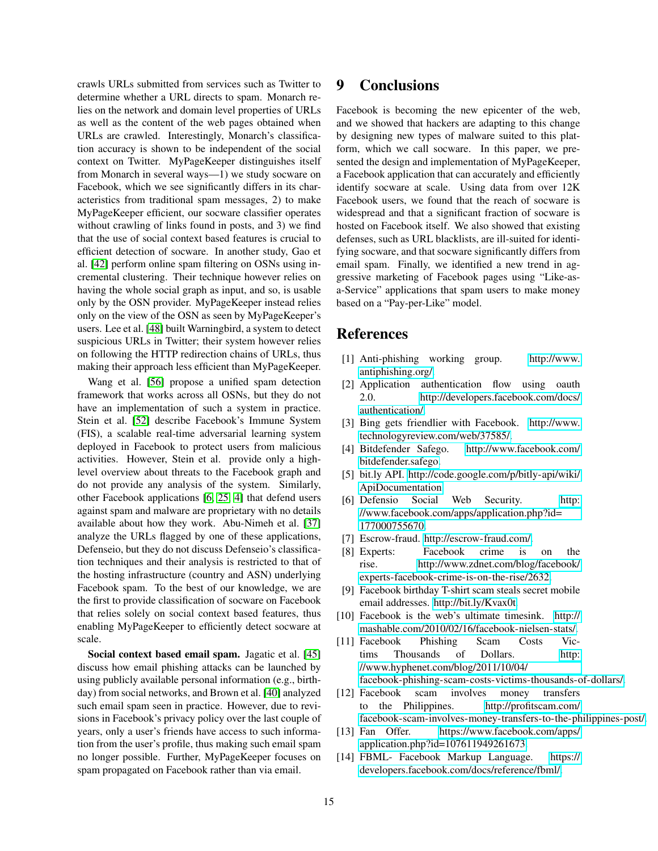crawls URLs submitted from services such as Twitter to determine whether a URL directs to spam. Monarch relies on the network and domain level properties of URLs as well as the content of the web pages obtained when URLs are crawled. Interestingly, Monarch's classification accuracy is shown to be independent of the social context on Twitter. MyPageKeeper distinguishes itself from Monarch in several ways—1) we study socware on Facebook, which we see significantly differs in its characteristics from traditional spam messages, 2) to make MyPageKeeper efficient, our socware classifier operates without crawling of links found in posts, and 3) we find that the use of social context based features is crucial to efficient detection of socware. In another study, Gao et al. [\[42\]](#page-15-37) perform online spam filtering on OSNs using incremental clustering. Their technique however relies on having the whole social graph as input, and so, is usable only by the OSN provider. MyPageKeeper instead relies only on the view of the OSN as seen by MyPageKeeper's users. Lee et al. [\[48\]](#page-15-38) built Warningbird, a system to detect suspicious URLs in Twitter; their system however relies on following the HTTP redirection chains of URLs, thus making their approach less efficient than MyPageKeeper.

Wang et al. [\[56\]](#page-15-39) propose a unified spam detection framework that works across all OSNs, but they do not have an implementation of such a system in practice. Stein et al. [\[52\]](#page-15-4) describe Facebook's Immune System (FIS), a scalable real-time adversarial learning system deployed in Facebook to protect users from malicious activities. However, Stein et al. provide only a highlevel overview about threats to the Facebook graph and do not provide any analysis of the system. Similarly, other Facebook applications [\[6,](#page-14-12) [25,](#page-15-40) [4\]](#page-14-13) that defend users against spam and malware are proprietary with no details available about how they work. Abu-Nimeh et al. [\[37\]](#page-15-41) analyze the URLs flagged by one of these applications, Defenseio, but they do not discuss Defenseio's classification techniques and their analysis is restricted to that of the hosting infrastructure (country and ASN) underlying Facebook spam. To the best of our knowledge, we are the first to provide classification of socware on Facebook that relies solely on social context based features, thus enabling MyPageKeeper to efficiently detect socware at scale.

Social context based email spam. Jagatic et al. [\[45\]](#page-15-42) discuss how email phishing attacks can be launched by using publicly available personal information (e.g., birthday) from social networks, and Brown et al. [\[40\]](#page-15-43) analyzed such email spam seen in practice. However, due to revisions in Facebook's privacy policy over the last couple of years, only a user's friends have access to such information from the user's profile, thus making such email spam no longer possible. Further, MyPageKeeper focuses on spam propagated on Facebook rather than via email.

# 9 Conclusions

Facebook is becoming the new epicenter of the web, and we showed that hackers are adapting to this change by designing new types of malware suited to this platform, which we call socware. In this paper, we presented the design and implementation of MyPageKeeper, a Facebook application that can accurately and efficiently identify socware at scale. Using data from over 12K Facebook users, we found that the reach of socware is widespread and that a significant fraction of socware is hosted on Facebook itself. We also showed that existing defenses, such as URL blacklists, are ill-suited for identifying socware, and that socware significantly differs from email spam. Finally, we identified a new trend in aggressive marketing of Facebook pages using "Like-asa-Service" applications that spam users to make money based on a "Pay-per-Like" model.

# References

- <span id="page-14-5"></span>[1] Anti-phishing working group. [http://www.](http://www.antiphishing.org/) [antiphishing.org/.](http://www.antiphishing.org/)
- <span id="page-14-3"></span>[2] Application authentication flow using oauth 2.0. [http://developers.facebook.com/docs/](http://developers.facebook.com/docs/authentication/) [authentication/.](http://developers.facebook.com/docs/authentication/)
- <span id="page-14-10"></span>[3] Bing gets friendlier with Facebook. [http://www.](http://www.technologyreview.com/web/37585/) [technologyreview.com/web/37585/.](http://www.technologyreview.com/web/37585/)
- <span id="page-14-13"></span>[4] Bitdefender Safego. [http://www.facebook.com/](http://www.facebook.com/bitdefender.safego) [bitdefender.safego.](http://www.facebook.com/bitdefender.safego)
- <span id="page-14-8"></span>[5] bit.ly API. [http://code.google.com/p/bitly-api/wiki/](http://code.google.com/p/bitly-api/wiki/ApiDocumentation) [ApiDocumentation.](http://code.google.com/p/bitly-api/wiki/ApiDocumentation)
- <span id="page-14-12"></span>[6] Defensio Social Web Security. [http:](http://www.facebook.com/apps/application.php?id=177000755670) [//www.facebook.com/apps/application.php?id=](http://www.facebook.com/apps/application.php?id=177000755670) [177000755670.](http://www.facebook.com/apps/application.php?id=177000755670)
- <span id="page-14-6"></span>[7] Escrow-fraud. [http://escrow-fraud.com/.](http://escrow-fraud.com/)
- <span id="page-14-0"></span>[8] Experts: Facebook crime is on the rise. [http://www.zdnet.com/blog/facebook/](http://www.zdnet.com/blog/facebook/experts-facebook-crime-is-on-the-rise/2632) [experts-facebook-crime-is-on-the-rise/2632.](http://www.zdnet.com/blog/facebook/experts-facebook-crime-is-on-the-rise/2632)
- <span id="page-14-4"></span>[9] Facebook birthday T-shirt scam steals secret mobile email addresses. [http://bit.ly/Kvax0t.](http://bit.ly/Kvax0t)
- <span id="page-14-9"></span>[10] Facebook is the web's ultimate timesink. [http://](http://mashable.com/2010/02/16/facebook-nielsen-stats/) [mashable.com/2010/02/16/facebook-nielsen-stats/.](http://mashable.com/2010/02/16/facebook-nielsen-stats/)
- <span id="page-14-1"></span>[11] Facebook Phishing Scam Costs Victims Thousands of Dollars. [http:](http://www.hyphenet.com/blog/2011/10/04/facebook- phishing- scam- costs- victims- thousands-of-dollars/) [//www.hyphenet.com/blog/2011/10/04/](http://www.hyphenet.com/blog/2011/10/04/facebook- phishing- scam- costs- victims- thousands-of-dollars/) [facebook-phishing-scam-costs-victims-thousands-of-dollars/.](http://www.hyphenet.com/blog/2011/10/04/facebook- phishing- scam- costs- victims- thousands-of-dollars/)
- <span id="page-14-2"></span>[12] Facebook scam involves money transfers to the Philippines. [http://profitscam.com/](http://profitscam.com/facebook-scam-involves- money-transfers-to-the-philippines-post/) [facebook-scam-involves-money-transfers-to-the-philippines-post/.](http://profitscam.com/facebook-scam-involves- money-transfers-to-the-philippines-post/)
- <span id="page-14-11"></span>[13] Fan Offer. [https://www.facebook.com/apps/](https://www.facebook.com/apps/application.php?id=107611949261673) [application.php?id=107611949261673.](https://www.facebook.com/apps/application.php?id=107611949261673)
- <span id="page-14-7"></span>[14] FBML- Facebook Markup Language. [https://](https://developers.facebook.com/docs/reference/fbml/) [developers.facebook.com/docs/reference/fbml/.](https://developers.facebook.com/docs/reference/fbml/)